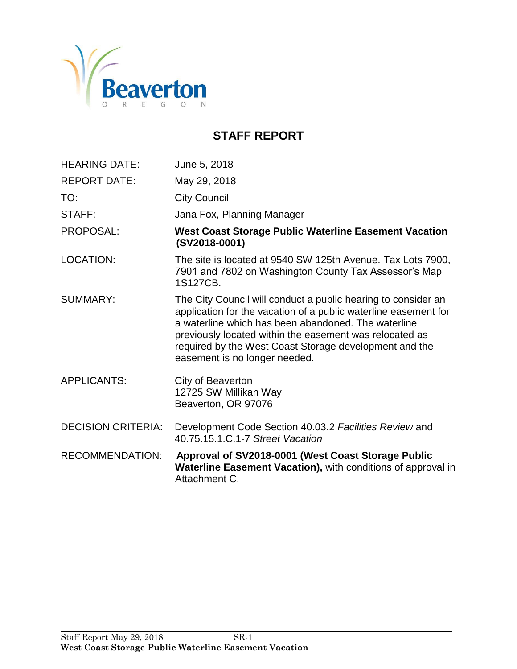

# **STAFF REPORT**

| <b>HEARING DATE:</b>      | June 5, 2018                                                                                                                                                                                                                                                                                                                                  |
|---------------------------|-----------------------------------------------------------------------------------------------------------------------------------------------------------------------------------------------------------------------------------------------------------------------------------------------------------------------------------------------|
| <b>REPORT DATE:</b>       | May 29, 2018                                                                                                                                                                                                                                                                                                                                  |
| TO:                       | <b>City Council</b>                                                                                                                                                                                                                                                                                                                           |
| STAFF:                    | Jana Fox, Planning Manager                                                                                                                                                                                                                                                                                                                    |
| <b>PROPOSAL:</b>          | <b>West Coast Storage Public Waterline Easement Vacation</b><br>(SV2018-0001)                                                                                                                                                                                                                                                                 |
| <b>LOCATION:</b>          | The site is located at 9540 SW 125th Avenue. Tax Lots 7900,<br>7901 and 7802 on Washington County Tax Assessor's Map<br>1S127CB.                                                                                                                                                                                                              |
| <b>SUMMARY:</b>           | The City Council will conduct a public hearing to consider an<br>application for the vacation of a public waterline easement for<br>a waterline which has been abandoned. The waterline<br>previously located within the easement was relocated as<br>required by the West Coast Storage development and the<br>easement is no longer needed. |
| <b>APPLICANTS:</b>        | City of Beaverton<br>12725 SW Millikan Way<br>Beaverton, OR 97076                                                                                                                                                                                                                                                                             |
| <b>DECISION CRITERIA:</b> | Development Code Section 40.03.2 Facilities Review and<br>40.75.15.1.C.1-7 Street Vacation                                                                                                                                                                                                                                                    |
| <b>RECOMMENDATION:</b>    | Approval of SV2018-0001 (West Coast Storage Public<br>Waterline Easement Vacation), with conditions of approval in<br>Attachment C.                                                                                                                                                                                                           |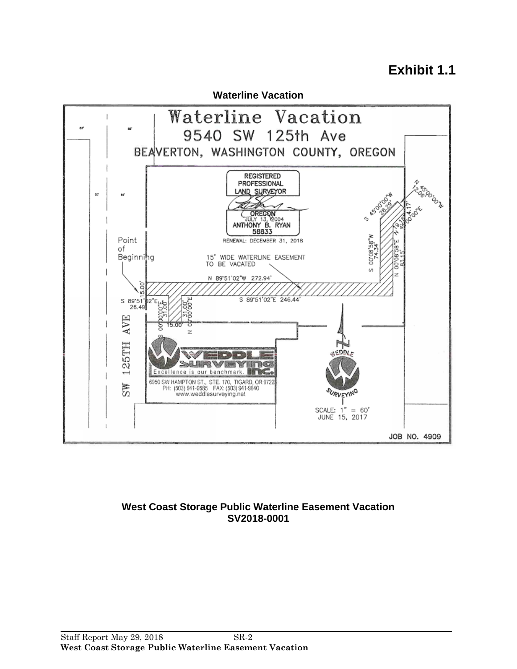# **Exhibit 1.1**



#### **West Coast Storage Public Waterline Easement Vacation SV2018-0001**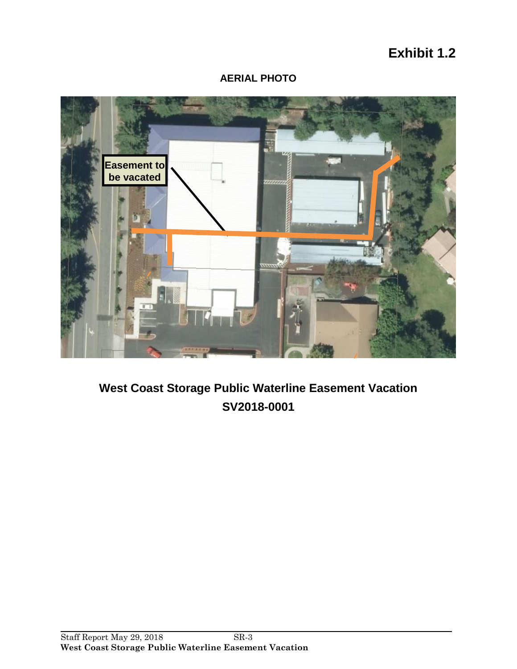# **Exhibit 1.2**

# **AERIAL PHOTO**



# **West Coast Storage Public Waterline Easement Vacation SV2018-0001**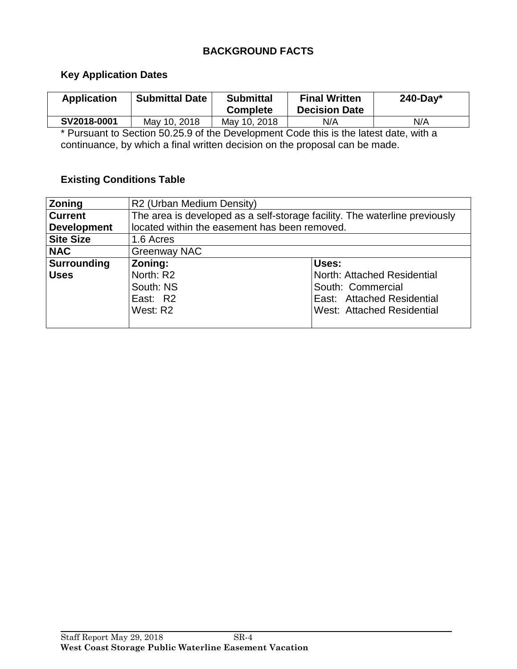# **BACKGROUND FACTS**

#### **Key Application Dates**

| <b>Application</b> | <b>Submittal Date</b> | <b>Submittal</b><br><b>Complete</b> | <b>Final Written</b><br><b>Decision Date</b> | $240$ -Day* |
|--------------------|-----------------------|-------------------------------------|----------------------------------------------|-------------|
| SV2018-0001        | May 10, 2018          | May 10, 2018                        | N/A                                          | N/A         |

\* Pursuant to Section 50.25.9 of the Development Code this is the latest date, with a continuance, by which a final written decision on the proposal can be made.

# **Existing Conditions Table**

| Zoning             | R2 (Urban Medium Density)                                                  |                             |  |  |  |
|--------------------|----------------------------------------------------------------------------|-----------------------------|--|--|--|
| <b>Current</b>     | The area is developed as a self-storage facility. The waterline previously |                             |  |  |  |
| <b>Development</b> | located within the easement has been removed.                              |                             |  |  |  |
| <b>Site Size</b>   | 1.6 Acres                                                                  |                             |  |  |  |
| <b>NAC</b>         | <b>Greenway NAC</b>                                                        |                             |  |  |  |
| <b>Surrounding</b> | Zoning:                                                                    | Uses:                       |  |  |  |
| <b>Uses</b>        | North: R2                                                                  | North: Attached Residential |  |  |  |
|                    | South: NS                                                                  | South: Commercial           |  |  |  |
|                    | East: R2                                                                   | East: Attached Residential  |  |  |  |
|                    | West: R2                                                                   | West: Attached Residential  |  |  |  |
|                    |                                                                            |                             |  |  |  |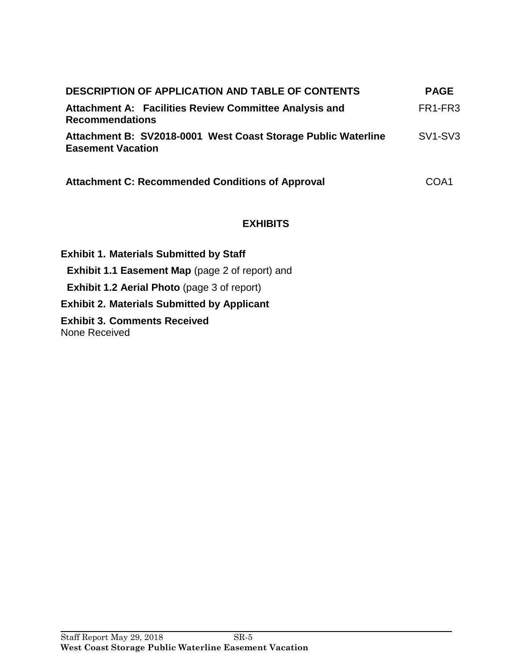| <b>DESCRIPTION OF APPLICATION AND TABLE OF CONTENTS</b>                                   | <b>PAGE</b>                      |
|-------------------------------------------------------------------------------------------|----------------------------------|
| Attachment A: Facilities Review Committee Analysis and<br><b>Recommendations</b>          | FR <sub>1</sub> -FR <sub>3</sub> |
| Attachment B: SV2018-0001 West Coast Storage Public Waterline<br><b>Easement Vacation</b> | SV <sub>1</sub> -SV <sub>3</sub> |
| <b>Attachment C: Recommended Conditions of Approval</b>                                   | COA1                             |

# **EXHIBITS**

**Exhibit 1. Materials Submitted by Staff Exhibit 1.1 Easement Map** (page 2 of report) and **Exhibit 1.2 Aerial Photo** (page 3 of report) **Exhibit 2. Materials Submitted by Applicant Exhibit 3. Comments Received** None Received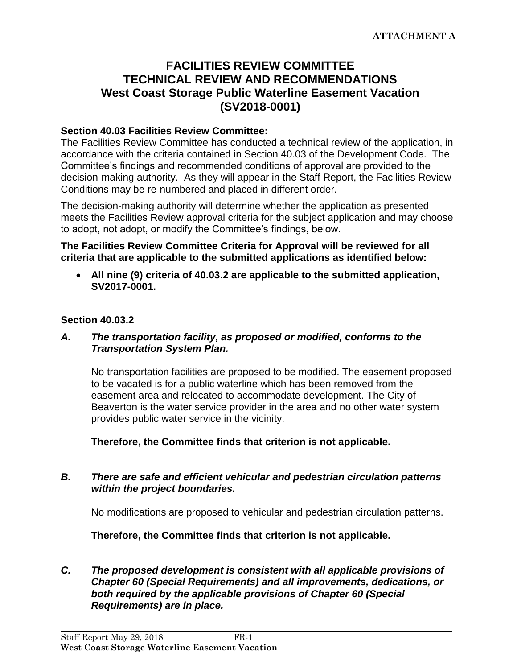# **FACILITIES REVIEW COMMITTEE TECHNICAL REVIEW AND RECOMMENDATIONS West Coast Storage Public Waterline Easement Vacation (SV2018-0001)**

### **Section 40.03 Facilities Review Committee:**

The Facilities Review Committee has conducted a technical review of the application, in accordance with the criteria contained in Section 40.03 of the Development Code. The Committee's findings and recommended conditions of approval are provided to the decision-making authority. As they will appear in the Staff Report, the Facilities Review Conditions may be re-numbered and placed in different order.

The decision-making authority will determine whether the application as presented meets the Facilities Review approval criteria for the subject application and may choose to adopt, not adopt, or modify the Committee's findings, below.

**The Facilities Review Committee Criteria for Approval will be reviewed for all criteria that are applicable to the submitted applications as identified below:**

 **All nine (9) criteria of 40.03.2 are applicable to the submitted application, SV2017-0001.**

#### **Section 40.03.2**

#### *A. The transportation facility, as proposed or modified, conforms to the Transportation System Plan.*

No transportation facilities are proposed to be modified. The easement proposed to be vacated is for a public waterline which has been removed from the easement area and relocated to accommodate development. The City of Beaverton is the water service provider in the area and no other water system provides public water service in the vicinity.

**Therefore, the Committee finds that criterion is not applicable.**

#### *B. There are safe and efficient vehicular and pedestrian circulation patterns within the project boundaries.*

No modifications are proposed to vehicular and pedestrian circulation patterns.

**Therefore, the Committee finds that criterion is not applicable.**

*C. The proposed development is consistent with all applicable provisions of Chapter 60 (Special Requirements) and all improvements, dedications, or both required by the applicable provisions of Chapter 60 (Special Requirements) are in place.*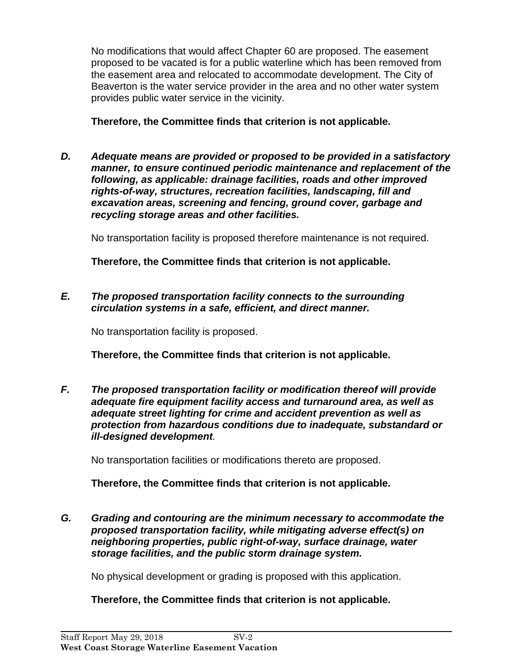No modifications that would affect Chapter 60 are proposed. The easement proposed to be vacated is for a public waterline which has been removed from the easement area and relocated to accommodate development. The City of Beaverton is the water service provider in the area and no other water system provides public water service in the vicinity.

**Therefore, the Committee finds that criterion is not applicable.**

*D. Adequate means are provided or proposed to be provided in a satisfactory manner, to ensure continued periodic maintenance and replacement of the following, as applicable: drainage facilities, roads and other improved rights-of-way, structures, recreation facilities, landscaping, fill and excavation areas, screening and fencing, ground cover, garbage and recycling storage areas and other facilities.*

No transportation facility is proposed therefore maintenance is not required.

**Therefore, the Committee finds that criterion is not applicable.**

*E. The proposed transportation facility connects to the surrounding circulation systems in a safe, efficient, and direct manner.*

No transportation facility is proposed.

**Therefore, the Committee finds that criterion is not applicable.**

*F. The proposed transportation facility or modification thereof will provide adequate fire equipment facility access and turnaround area, as well as adequate street lighting for crime and accident prevention as well as protection from hazardous conditions due to inadequate, substandard or ill-designed development.*

No transportation facilities or modifications thereto are proposed.

**Therefore, the Committee finds that criterion is not applicable.**

*G. Grading and contouring are the minimum necessary to accommodate the proposed transportation facility, while mitigating adverse effect(s) on neighboring properties, public right-of-way, surface drainage, water storage facilities, and the public storm drainage system.*

No physical development or grading is proposed with this application.

# **Therefore, the Committee finds that criterion is not applicable.**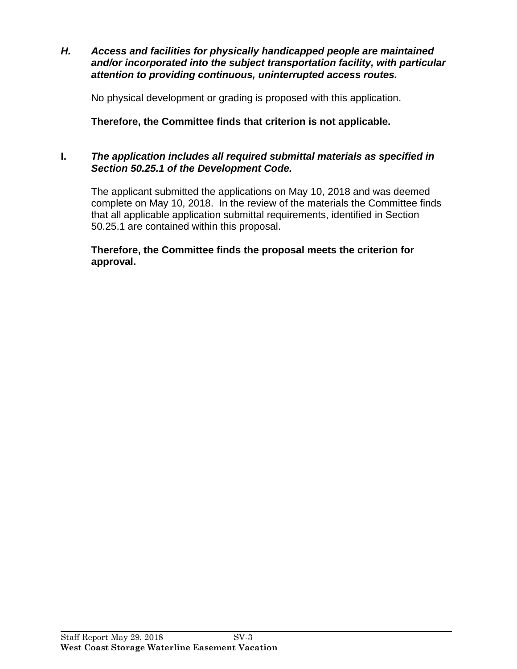*H. Access and facilities for physically handicapped people are maintained and/or incorporated into the subject transportation facility, with particular attention to providing continuous, uninterrupted access routes.*

No physical development or grading is proposed with this application.

**Therefore, the Committee finds that criterion is not applicable.**

# **I.** *The application includes all required submittal materials as specified in Section 50.25.1 of the Development Code.*

The applicant submitted the applications on May 10, 2018 and was deemed complete on May 10, 2018. In the review of the materials the Committee finds that all applicable application submittal requirements, identified in Section 50.25.1 are contained within this proposal.

**Therefore, the Committee finds the proposal meets the criterion for approval.**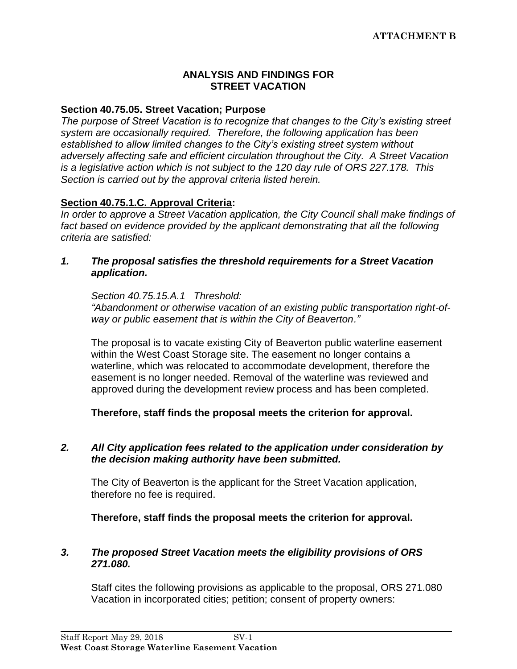#### **ANALYSIS AND FINDINGS FOR STREET VACATION**

#### **Section 40.75.05. Street Vacation; Purpose**

*The purpose of Street Vacation is to recognize that changes to the City's existing street system are occasionally required. Therefore, the following application has been established to allow limited changes to the City's existing street system without adversely affecting safe and efficient circulation throughout the City. A Street Vacation is a legislative action which is not subject to the 120 day rule of ORS 227.178. This Section is carried out by the approval criteria listed herein.*

#### **Section 40.75.1.C. Approval Criteria:**

*In order to approve a Street Vacation application, the City Council shall make findings of*  fact based on evidence provided by the applicant demonstrating that all the following *criteria are satisfied:*

*1. The proposal satisfies the threshold requirements for a Street Vacation application.*

*Section 40.75.15.A.1 Threshold:* 

*"Abandonment or otherwise vacation of an existing public transportation right-ofway or public easement that is within the City of Beaverton."*

The proposal is to vacate existing City of Beaverton public waterline easement within the West Coast Storage site. The easement no longer contains a waterline, which was relocated to accommodate development, therefore the easement is no longer needed. Removal of the waterline was reviewed and approved during the development review process and has been completed.

**Therefore, staff finds the proposal meets the criterion for approval.**

#### *2. All City application fees related to the application under consideration by the decision making authority have been submitted.*

The City of Beaverton is the applicant for the Street Vacation application, therefore no fee is required.

**Therefore, staff finds the proposal meets the criterion for approval.**

#### *3. The proposed Street Vacation meets the eligibility provisions of ORS 271.080.*

Staff cites the following provisions as applicable to the proposal, ORS 271.080 Vacation in incorporated cities; petition; consent of property owners: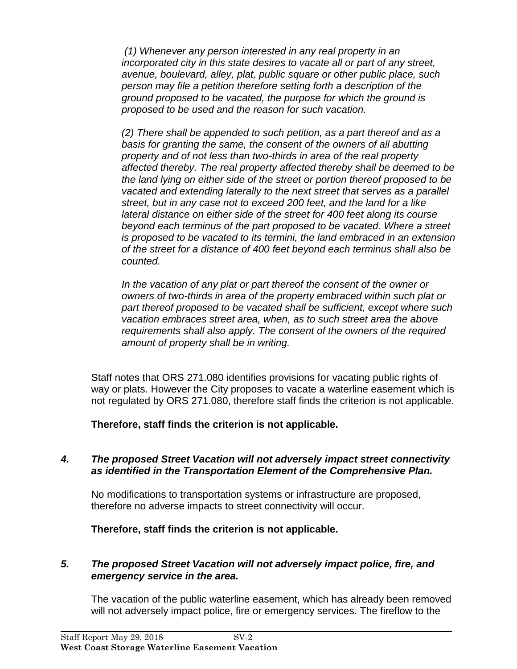*(1) Whenever any person interested in any real property in an incorporated city in this state desires to vacate all or part of any street, avenue, boulevard, alley, plat, public square or other public place, such person may file a petition therefore setting forth a description of the ground proposed to be vacated, the purpose for which the ground is proposed to be used and the reason for such vacation.*

*(2) There shall be appended to such petition, as a part thereof and as a basis for granting the same, the consent of the owners of all abutting property and of not less than two-thirds in area of the real property affected thereby. The real property affected thereby shall be deemed to be the land lying on either side of the street or portion thereof proposed to be vacated and extending laterally to the next street that serves as a parallel street, but in any case not to exceed 200 feet, and the land for a like lateral distance on either side of the street for 400 feet along its course beyond each terminus of the part proposed to be vacated. Where a street is proposed to be vacated to its termini, the land embraced in an extension of the street for a distance of 400 feet beyond each terminus shall also be counted.* 

*In the vacation of any plat or part thereof the consent of the owner or owners of two-thirds in area of the property embraced within such plat or part thereof proposed to be vacated shall be sufficient, except where such vacation embraces street area, when, as to such street area the above requirements shall also apply. The consent of the owners of the required amount of property shall be in writing.* 

Staff notes that ORS 271.080 identifies provisions for vacating public rights of way or plats. However the City proposes to vacate a waterline easement which is not regulated by ORS 271.080, therefore staff finds the criterion is not applicable.

**Therefore, staff finds the criterion is not applicable.**

### *4. The proposed Street Vacation will not adversely impact street connectivity as identified in the Transportation Element of the Comprehensive Plan.*

No modifications to transportation systems or infrastructure are proposed, therefore no adverse impacts to street connectivity will occur.

**Therefore, staff finds the criterion is not applicable.**

# *5. The proposed Street Vacation will not adversely impact police, fire, and emergency service in the area.*

The vacation of the public waterline easement, which has already been removed will not adversely impact police, fire or emergency services. The fireflow to the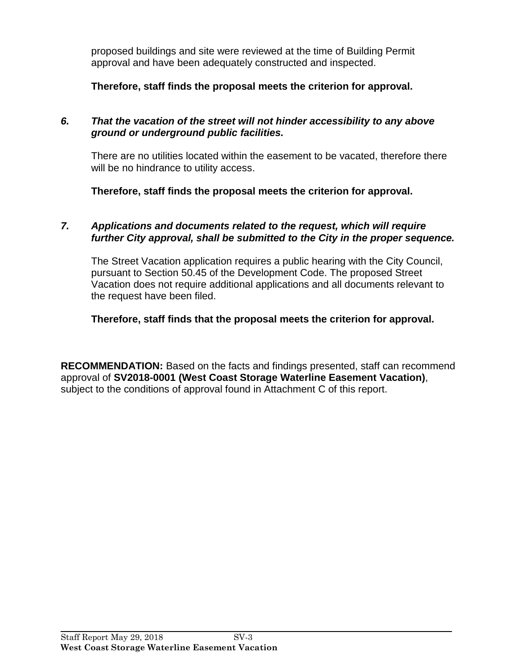proposed buildings and site were reviewed at the time of Building Permit approval and have been adequately constructed and inspected.

**Therefore, staff finds the proposal meets the criterion for approval.**

### *6. That the vacation of the street will not hinder accessibility to any above ground or underground public facilities.*

There are no utilities located within the easement to be vacated, therefore there will be no hindrance to utility access.

**Therefore, staff finds the proposal meets the criterion for approval.**

## *7. Applications and documents related to the request, which will require further City approval, shall be submitted to the City in the proper sequence.*

The Street Vacation application requires a public hearing with the City Council, pursuant to Section 50.45 of the Development Code. The proposed Street Vacation does not require additional applications and all documents relevant to the request have been filed.

# **Therefore, staff finds that the proposal meets the criterion for approval.**

**RECOMMENDATION:** Based on the facts and findings presented, staff can recommend approval of **SV2018-0001 (West Coast Storage Waterline Easement Vacation)**, subject to the conditions of approval found in Attachment C of this report.